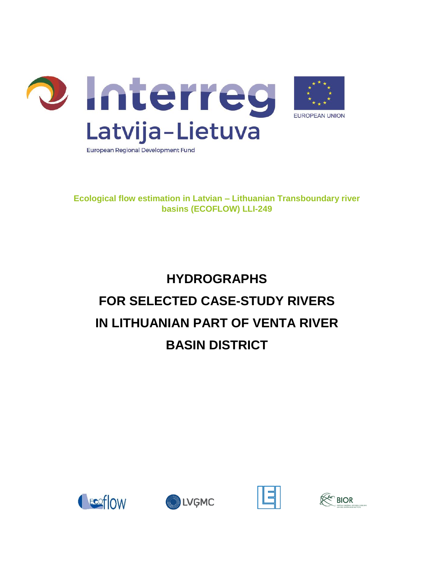

**Ecological flow estimation in Latvian – Lithuanian Transboundary river basins (ECOFLOW) LLI-249**

# **HYDROGRAPHS FOR SELECTED CASE-STUDY RIVERS IN LITHUANIAN PART OF VENTA RIVER BASIN DISTRICT**







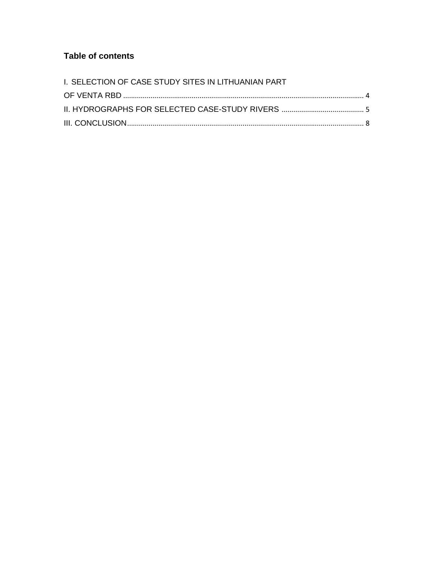#### **Table of contents**

| I. SELECTION OF CASE STUDY SITES IN LITHUANIAN PART |  |
|-----------------------------------------------------|--|
|                                                     |  |
|                                                     |  |
|                                                     |  |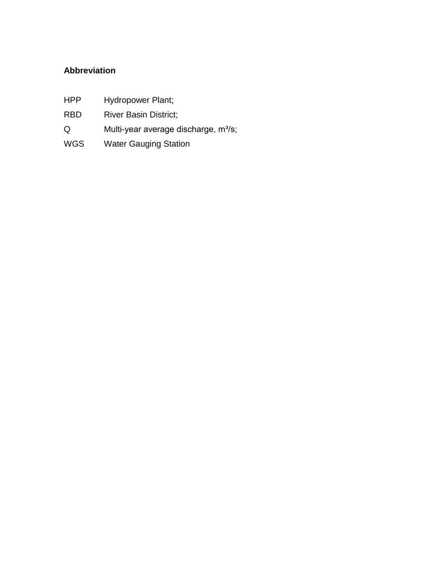### **Abbreviation**

- HPP Hydropower Plant;
- RBD River Basin District;
- Q Multi-year average discharge, m<sup>3</sup>/s;
- WGS Water Gauging Station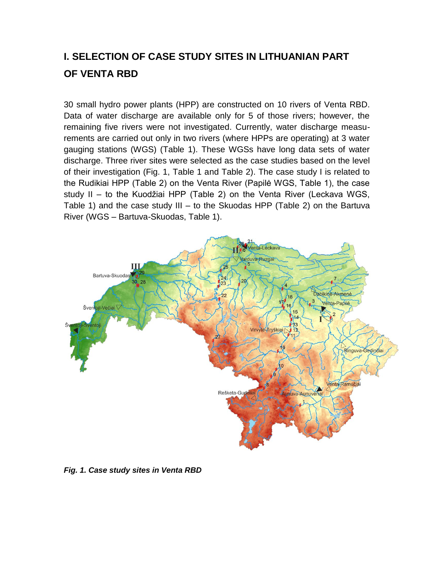## <span id="page-3-0"></span>**I. SELECTION OF CASE STUDY SITES IN LITHUANIAN PART OF VENTA RBD**

30 small hydro power plants (HPP) are constructed on 10 rivers of Venta RBD. Data of water discharge are available only for 5 of those rivers; however, the remaining five rivers were not investigated. Currently, water discharge measurements are carried out only in two rivers (where HPPs are operating) at 3 water gauging stations (WGS) (Table 1). These WGSs have long data sets of water discharge. Three river sites were selected as the case studies based on the level of their investigation (Fig. 1, Table 1 and Table 2). The case study I is related to the Rudikiai HPP (Table 2) on the Venta River (Papilė WGS, Table 1), the case study II – to the Kuodžiai HPP (Table 2) on the Venta River (Leckava WGS, Table 1) and the case study III – to the Skuodas HPP (Table 2) on the Bartuva River (WGS – Bartuva-Skuodas, Table 1).



*Fig. 1. Case study sites in Venta RBD*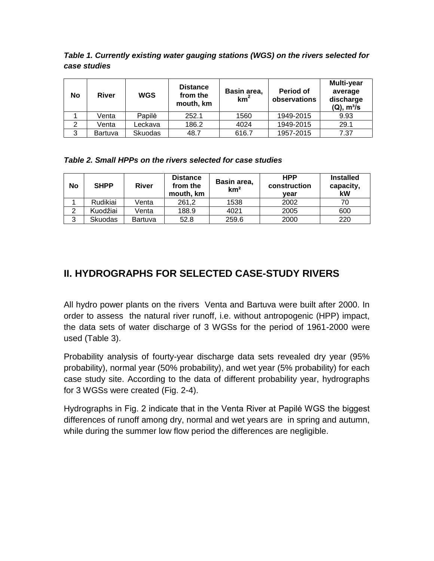*Table 1. Currently existing water gauging stations (WGS) on the rivers selected for case studies*

| <b>No</b> | <b>River</b> | <b>WGS</b> | <b>Distance</b><br>from the<br>mouth, km | Basin area,<br>km <sup>2</sup> | Period of<br>observations | Multi-year<br>average<br>discharge<br>$(Q)$ , m <sup>3</sup> /s |
|-----------|--------------|------------|------------------------------------------|--------------------------------|---------------------------|-----------------------------------------------------------------|
|           | Venta        | Papilė     | 252.1                                    | 1560                           | 1949-2015                 | 9.93                                                            |
| 2         | Venta        | Leckava    | 186.2                                    | 4024                           | 1949-2015                 | 29.1                                                            |
| 3         | Bartuva      | Skuodas    | 48.7                                     | 616.7                          | 1957-2015                 | 7.37                                                            |

*Table 2. Small HPPs on the rivers selected for case studies*

| No | <b>SHPP</b>    | <b>River</b> | <b>Distance</b><br>from the<br>mouth, km | Basin area,<br>km <sup>2</sup> | <b>HPP</b><br>construction<br>vear | <b>Installed</b><br>capacity,<br>kW |
|----|----------------|--------------|------------------------------------------|--------------------------------|------------------------------------|-------------------------------------|
|    | Rudikiai       | Venta        | 261.2                                    | 1538                           | 2002                               |                                     |
| 2  | Kuodžiai       | Venta        | 188.9                                    | 4021                           | 2005                               | 600                                 |
| 3  | <b>Skuodas</b> | Bartuva      | 52.8                                     | 259.6                          | 2000                               | 220                                 |

## <span id="page-4-0"></span>**II. HYDROGRAPHS FOR SELECTED CASE-STUDY RIVERS**

All hydro power plants on the rivers Venta and Bartuva were built after 2000. In order to assess the natural river runoff, i.e. without antropogenic (HPP) impact, the data sets of water discharge of 3 WGSs for the period of 1961-2000 were used (Table 3).

Probability analysis of fourty-year discharge data sets revealed dry year (95% probability), normal year (50% probability), and wet year (5% probability) for each case study site. According to the data of different probability year, hydrographs for 3 WGSs were created (Fig. 2-4).

Hydrographs in Fig. 2 indicate that in the Venta River at Papilė WGS the biggest differences of runoff among dry, normal and wet years are in spring and autumn, while during the summer low flow period the differences are negligible.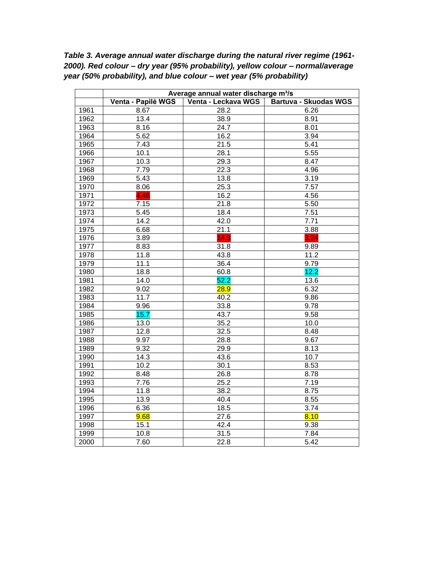*Table 3. Average annual water discharge during the natural river regime (1961- 2000). Red colour – dry year (95% probability), yellow colour – normal/average year (50% probability), and blue colour – wet year (5% probability)*

|      | Average annual water discharge m <sup>3</sup> /s |                     |                              |  |  |
|------|--------------------------------------------------|---------------------|------------------------------|--|--|
|      | Venta - Papilė WGS                               | Venta - Leckava WGS | <b>Bartuva - Skuodas WGS</b> |  |  |
| 1961 | 8.67                                             | 28.2                | 6.26                         |  |  |
| 1962 | 13.4                                             | 38.9                | 8.91                         |  |  |
| 1963 | 8.16                                             | 24.7                | 8.01                         |  |  |
| 1964 | 5.62                                             | 16.2                | 3.94                         |  |  |
| 1965 | 7.43                                             | 21.5                | 5.41                         |  |  |
| 1966 | 10.1                                             | 28.1                | 5.55                         |  |  |
| 1967 | 10.3                                             | 29.3                | 8.47                         |  |  |
| 1968 | 7.79                                             | 22.3                | 4.96                         |  |  |
| 1969 | 5.43                                             | 13.8                | 3.19                         |  |  |
| 1970 | 8.06                                             | 25.3                | 7.57                         |  |  |
| 1971 | 4.46                                             | 16.2                | 4.56                         |  |  |
| 1972 | 7.15                                             | 21.8                | 5.50                         |  |  |
| 1973 | 5.45                                             | 18.4                | 7.51                         |  |  |
| 1974 | 14.2                                             | 42.0                | 7.71                         |  |  |
| 1975 | 6.68                                             | 21.1                | 3.88                         |  |  |
| 1976 | 3.89                                             | 14.3                | 3.24                         |  |  |
| 1977 | 8.83                                             | 31.8                | 9.89                         |  |  |
| 1978 | 11.8                                             | 43.8                | 11.2                         |  |  |
| 1979 | 11.1                                             | 36.4                | 9.79                         |  |  |
| 1980 | 18.8                                             | 60.8                | 12.2                         |  |  |
| 1981 | 14.0                                             | 52.2                | 13.6                         |  |  |
| 1982 | 9.02                                             | 28.9                | 6.32                         |  |  |
| 1983 | 11.7                                             | 40.2                | 9.86                         |  |  |
| 1984 | 9.96                                             | 33.8                | 9.78                         |  |  |
| 1985 | 15.7                                             | 43.7                | 9.58                         |  |  |
| 1986 | 13.0                                             | 35.2                | 10.0                         |  |  |
| 1987 | 12.8                                             | 32.5                | 8.48                         |  |  |
| 1988 | 9.97                                             | 28.8                | 9.67                         |  |  |
| 1989 | 9.32                                             | 29.9                | 8.13                         |  |  |
| 1990 | 14.3                                             | 43.6                | 10.7                         |  |  |
| 1991 | 10.2                                             | 30.1                | 8.53                         |  |  |
| 1992 | 8.48                                             | 26.8                | 8.78                         |  |  |
| 1993 | 7.76                                             | 25.2                | 7.19                         |  |  |
| 1994 | 11.8                                             | 38.2                | 8.75                         |  |  |
| 1995 | 13.9                                             | 40.4                | 8.55                         |  |  |
| 1996 | 6.36                                             | 18.5                | 3.74                         |  |  |
| 1997 | 9.68                                             | 27.6                | 8.10                         |  |  |
| 1998 | 15.1                                             | 42.4                | 9.38                         |  |  |
| 1999 | 10.8                                             | 31.5                | 7.84                         |  |  |
| 2000 | 7.60                                             | 22.8                | 5.42                         |  |  |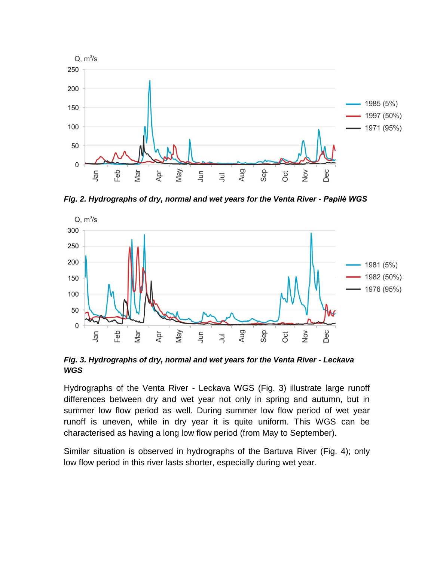

*Fig. 2. Hydrographs of dry, normal and wet years for the Venta River - Papilė WGS*



*Fig. 3. Hydrographs of dry, normal and wet years for the Venta River - Leckava WGS*

Hydrographs of the Venta River - Leckava WGS (Fig. 3) illustrate large runoff differences between dry and wet year not only in spring and autumn, but in summer low flow period as well. During summer low flow period of wet year runoff is uneven, while in dry year it is quite uniform. This WGS can be characterised as having a long low flow period (from May to September).

Similar situation is observed in hydrographs of the Bartuva River (Fig. 4); only low flow period in this river lasts shorter, especially during wet year.